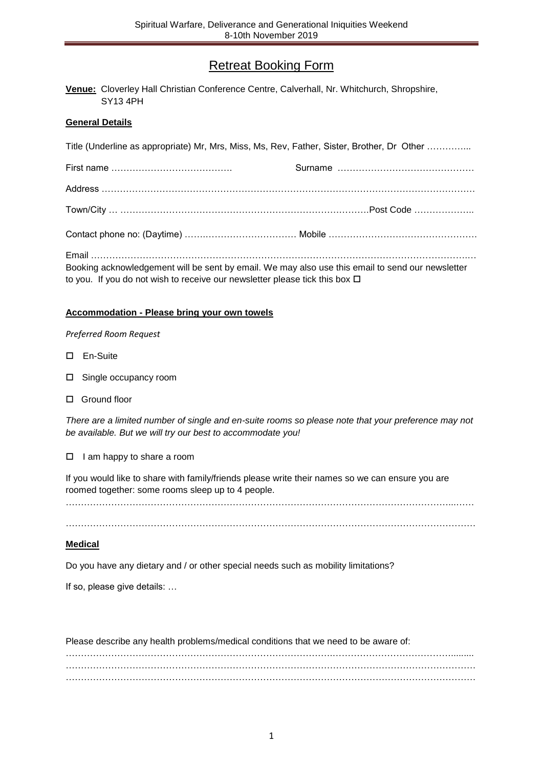# Retreat Booking Form

| Venue: Cloverley Hall Christian Conference Centre, Calverhall, Nr. Whitchurch, Shropshire, |  |  |
|--------------------------------------------------------------------------------------------|--|--|
| SY13 4PH                                                                                   |  |  |

## **General Details**

| Title (Underline as appropriate) Mr, Mrs, Miss, Ms, Rev, Father, Sister, Brother, Dr Other                                                                                           |  |  |  |  |  |
|--------------------------------------------------------------------------------------------------------------------------------------------------------------------------------------|--|--|--|--|--|
|                                                                                                                                                                                      |  |  |  |  |  |
|                                                                                                                                                                                      |  |  |  |  |  |
|                                                                                                                                                                                      |  |  |  |  |  |
|                                                                                                                                                                                      |  |  |  |  |  |
| Booking acknowledgement will be sent by email. We may also use this email to send our newsletter<br>to you. If you do not wish to receive our newsletter please tick this box $\Box$ |  |  |  |  |  |

### **Accommodation - Please bring your own towels**

#### *Preferred Room Request*

- En-Suite
- □ Single occupancy room
- □ Ground floor

*There are a limited number of single and en-suite rooms so please note that your preference may not be available. But we will try our best to accommodate you!* 

 $\Box$  I am happy to share a room

If you would like to share with family/friends please write their names so we can ensure you are roomed together: some rooms sleep up to 4 people.

………………………………………………………………………………………………………………...……

………………………………………………………………………………………………………………………

#### **Medical**

Do you have any dietary and / or other special needs such as mobility limitations?

If so, please give details: …

Please describe any health problems/medical conditions that we need to be aware of: …………………………………………………………………………….…………………………………......... ……………………………………………………………………………………………………………………… . The same independent of the same independent of the same independent of the same independent of the same independent of the same independent of the same independent of the same independent of the same independent of the